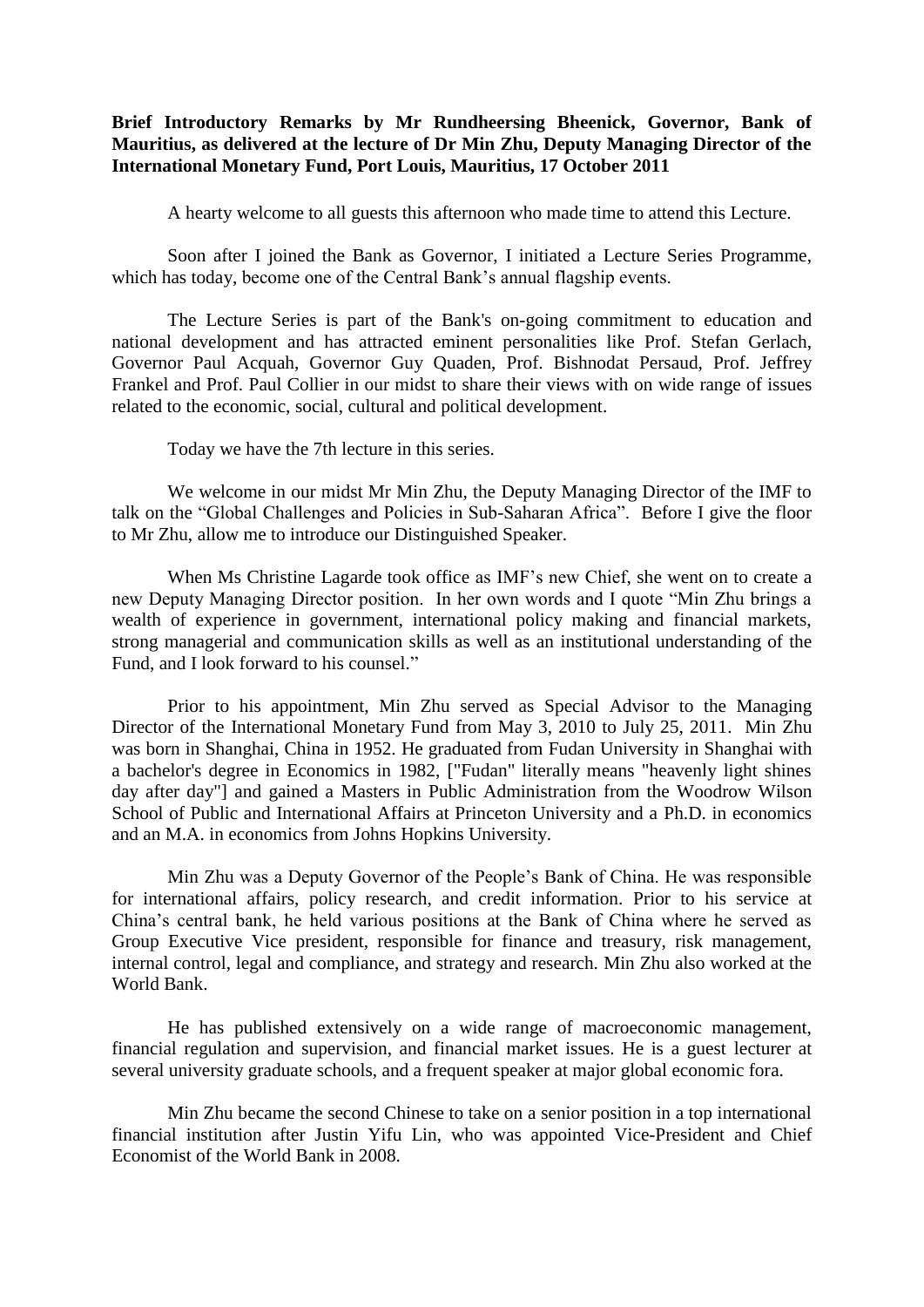## **Brief Introductory Remarks by Mr Rundheersing Bheenick, Governor, Bank of Mauritius, as delivered at the lecture of Dr Min Zhu, Deputy Managing Director of the International Monetary Fund, Port Louis, Mauritius, 17 October 2011**

A hearty welcome to all guests this afternoon who made time to attend this Lecture.

Soon after I joined the Bank as Governor, I initiated a Lecture Series Programme, which has today, become one of the Central Bank's annual flagship events.

The Lecture Series is part of the Bank's on-going commitment to education and national development and has attracted eminent personalities like Prof. Stefan Gerlach, Governor Paul Acquah, Governor Guy Quaden, Prof. Bishnodat Persaud, Prof. Jeffrey Frankel and Prof. Paul Collier in our midst to share their views with on wide range of issues related to the economic, social, cultural and political development.

Today we have the 7th lecture in this series.

We welcome in our midst Mr Min Zhu, the Deputy Managing Director of the IMF to talk on the "Global Challenges and Policies in Sub-Saharan Africa". Before I give the floor to Mr Zhu, allow me to introduce our Distinguished Speaker.

When Ms Christine Lagarde took office as IMF's new Chief, she went on to create a new Deputy Managing Director position. In her own words and I quote "Min Zhu brings a wealth of experience in government, international policy making and financial markets, strong managerial and communication skills as well as an institutional understanding of the Fund, and I look forward to his counsel."

Prior to his appointment, Min Zhu served as Special Advisor to the Managing Director of the International Monetary Fund from May 3, 2010 to July 25, 2011. Min Zhu was born in Shanghai, China in 1952. He graduated from Fudan University in Shanghai with a bachelor's degree in Economics in 1982, ["Fudan" literally means "heavenly light shines day after day"] and gained a Masters in Public Administration from the Woodrow Wilson School of Public and International Affairs at Princeton University and a Ph.D. in economics and an M.A. in economics from Johns Hopkins University.

Min Zhu was a Deputy Governor of the People's Bank of China. He was responsible for international affairs, policy research, and credit information. Prior to his service at China's central bank, he held various positions at the Bank of China where he served as Group Executive Vice president, responsible for finance and treasury, risk management, internal control, legal and compliance, and strategy and research. Min Zhu also worked at the World Bank.

He has published extensively on a wide range of macroeconomic management, financial regulation and supervision, and financial market issues. He is a guest lecturer at several university graduate schools, and a frequent speaker at major global economic fora.

Min Zhu became the second Chinese to take on a senior position in a top international financial institution after Justin Yifu Lin, who was appointed Vice-President and Chief Economist of the World Bank in 2008.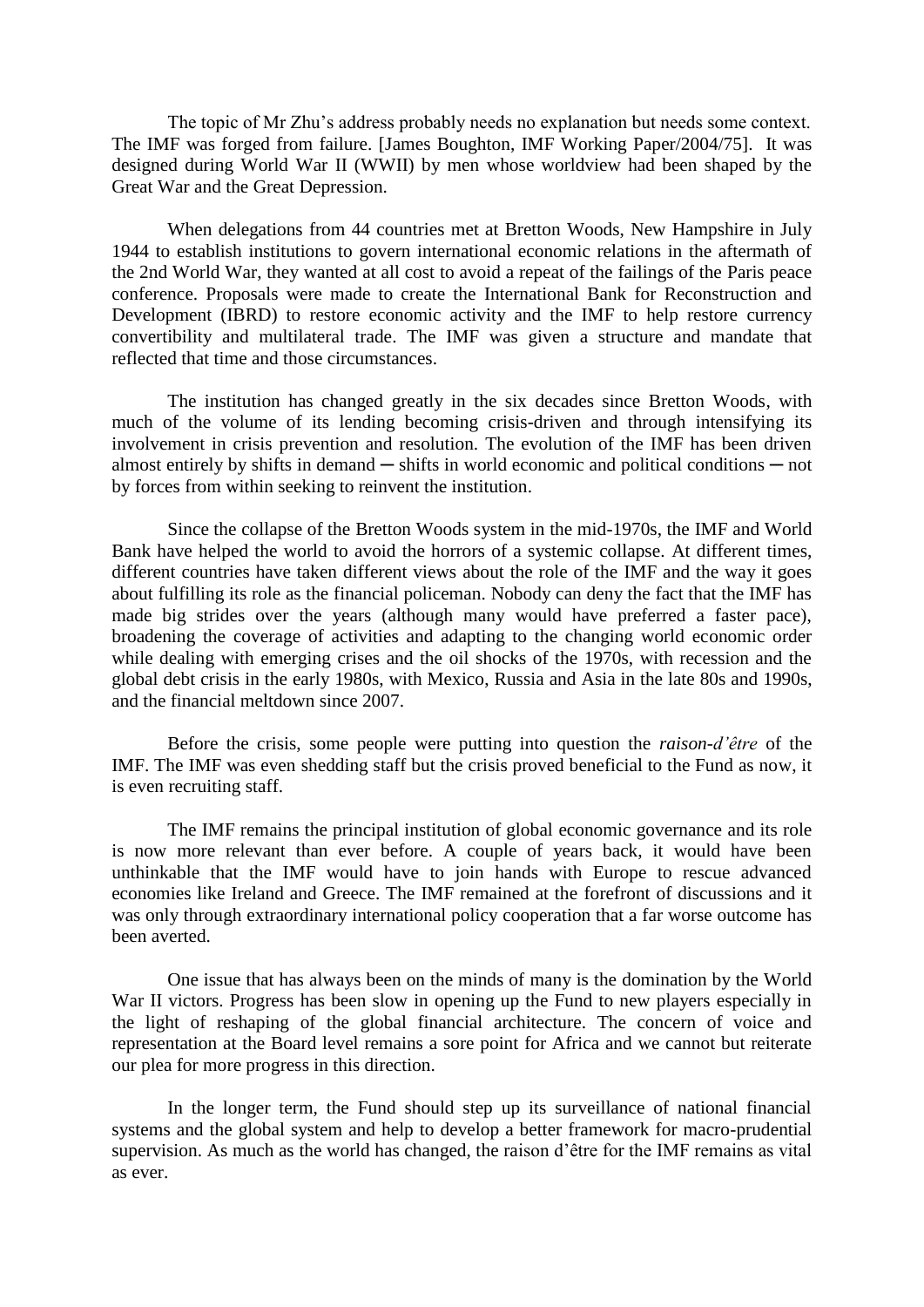The topic of Mr Zhu's address probably needs no explanation but needs some context. The IMF was forged from failure. [James Boughton, IMF Working Paper/2004/75]. It was designed during World War II (WWII) by men whose worldview had been shaped by the Great War and the Great Depression.

When delegations from 44 countries met at Bretton Woods, New Hampshire in July 1944 to establish institutions to govern international economic relations in the aftermath of the 2nd World War, they wanted at all cost to avoid a repeat of the failings of the Paris peace conference. Proposals were made to create the International Bank for Reconstruction and Development (IBRD) to restore economic activity and the IMF to help restore currency convertibility and multilateral trade. The IMF was given a structure and mandate that reflected that time and those circumstances.

The institution has changed greatly in the six decades since Bretton Woods, with much of the volume of its lending becoming crisis-driven and through intensifying its involvement in crisis prevention and resolution. The evolution of the IMF has been driven almost entirely by shifts in demand  $-$  shifts in world economic and political conditions  $-$  not by forces from within seeking to reinvent the institution.

Since the collapse of the Bretton Woods system in the mid-1970s, the IMF and World Bank have helped the world to avoid the horrors of a systemic collapse. At different times, different countries have taken different views about the role of the IMF and the way it goes about fulfilling its role as the financial policeman. Nobody can deny the fact that the IMF has made big strides over the years (although many would have preferred a faster pace), broadening the coverage of activities and adapting to the changing world economic order while dealing with emerging crises and the oil shocks of the 1970s, with recession and the global debt crisis in the early 1980s, with Mexico, Russia and Asia in the late 80s and 1990s, and the financial meltdown since 2007.

Before the crisis, some people were putting into question the *raison-d'être* of the IMF. The IMF was even shedding staff but the crisis proved beneficial to the Fund as now, it is even recruiting staff.

The IMF remains the principal institution of global economic governance and its role is now more relevant than ever before. A couple of years back, it would have been unthinkable that the IMF would have to join hands with Europe to rescue advanced economies like Ireland and Greece. The IMF remained at the forefront of discussions and it was only through extraordinary international policy cooperation that a far worse outcome has been averted.

One issue that has always been on the minds of many is the domination by the World War II victors. Progress has been slow in opening up the Fund to new players especially in the light of reshaping of the global financial architecture. The concern of voice and representation at the Board level remains a sore point for Africa and we cannot but reiterate our plea for more progress in this direction.

In the longer term, the Fund should step up its surveillance of national financial systems and the global system and help to develop a better framework for macro-prudential supervision. As much as the world has changed, the raison d'être for the IMF remains as vital as ever.